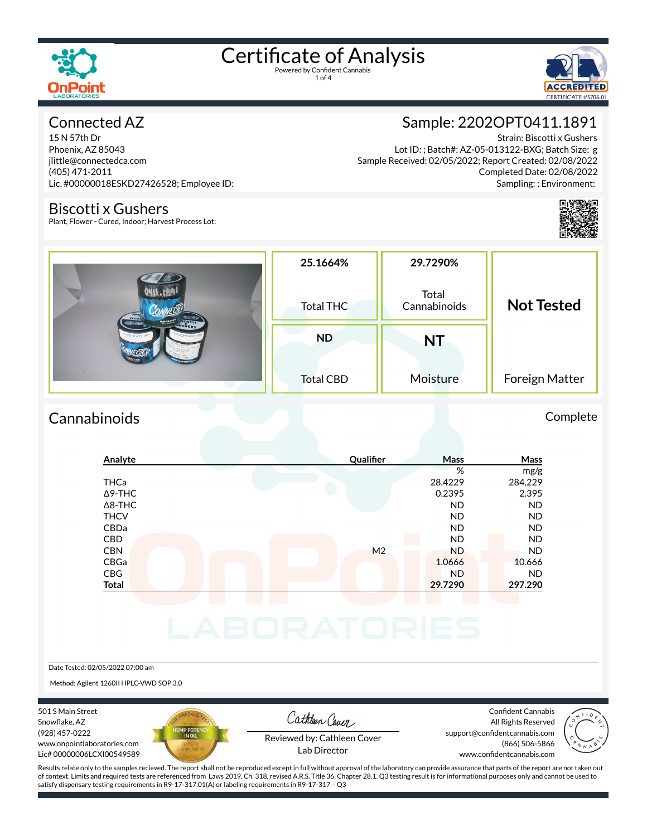

1 of 4



### Connected AZ

15 N 57th Dr Phoenix, AZ 85043 jlittle@connectedca.com (405) 471-2011 Lic. #00000018ESKD27426528; Employee ID:

### Biscotti x Gushers

Plant, Flower - Cured, Indoor; Harvest Process Lot:

Sample: 2202OPT0411.1891

Strain: Biscotti x Gushers Lot ID: ; Batch#: AZ-05-013122-BXG; Batch Size: g Sample Received: 02/05/2022; Report Created: 02/08/2022 Completed Date: 02/08/2022 Sampling: ; Environment:



| 1110                  | 25.1664%<br>Total THC | 29.7290%<br>Total<br>Cannabinoids | <b>Not Tested</b> |  |
|-----------------------|-----------------------|-----------------------------------|-------------------|--|
| COTTI<br><b>USHER</b> | <b>ND</b>             | <b>NT</b>                         |                   |  |
|                       | <b>Total CBD</b>      | Moisture                          | Foreign Matter    |  |

### Cannabinoids Complete

### **Analyte Qualier Mass Mass** % mg/g THCa 28.4229 284.229  $\Delta$ 9-THC 2.395 2.395 2.395 Δ8-THC ND ND THCV ND ND CBDa ND ND CBD A RESIDENCE OF A RESIDENCE OF A RESIDENCE OF A RESIDENCE OF A RESIDENCE OF A RESIDENCE OF A RESIDENCE OF A CBN M2 ND ND ND ND CBGa 1.0666 10.666 CBG ND ND **Total 29.7290 297.290**

Date Tested: 02/05/2022 07:00 am

Method: Agilent 1260II HPLC-VWD SOP 3.0

501 S Main Street Snowflake, AZ (928) 457-0222 www.onpointlaboratories.com Lic# 00000006LCXI00549589



Cathleen Cover

Confident Cannabis All Rights Reserved support@confidentcannabis.com (866) 506-5866



Reviewed by: Cathleen Cover Lab Director

www.confidentcannabis.com

Results relate only to the samples recieved. The report shall not be reproduced except in full without approval of the laboratory can provide assurance that parts of the report are not taken out of context. Limits and required tests are referenced from Laws 2019, Ch. 318, revised A.R.S. Title 36, Chapter 28.1. Q3 testing result is for informational purposes only and cannot be used to satisfy dispensary testing requirements in R9-17-317.01(A) or labeling requirements in R9-17-317 – Q3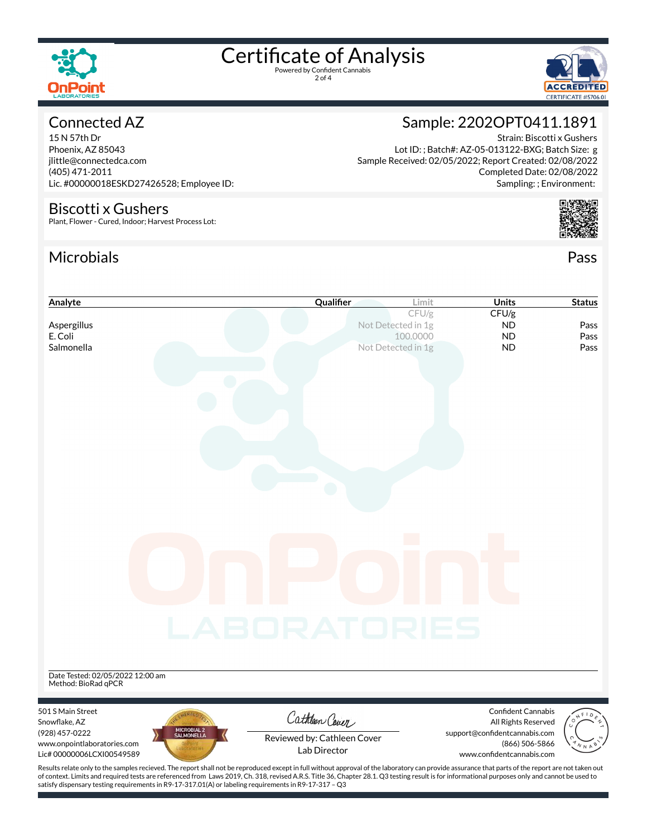

2 of 4



Strain: Biscotti x Gushers

Completed Date: 02/08/2022 Sampling: ; Environment:

### Connected AZ

15 N 57th Dr Phoenix, AZ 85043 jlittle@connectedca.com (405) 471-2011 Lic. #00000018ESKD27426528; Employee ID:

### Biscotti x Gushers

Plant, Flower - Cured, Indoor; Harvest Process Lot:

### Microbials Pass



| Analyte                                                                                                                                                                                            | Qualifier                   | Limit                          | <b>Units</b>                                    | <b>Status</b>     |
|----------------------------------------------------------------------------------------------------------------------------------------------------------------------------------------------------|-----------------------------|--------------------------------|-------------------------------------------------|-------------------|
|                                                                                                                                                                                                    |                             | CFU/g                          | CFU/g                                           |                   |
| Aspergillus<br>E. Coli                                                                                                                                                                             |                             | Not Detected in 1g<br>100.0000 | <b>ND</b><br><b>ND</b>                          | Pass<br>Pass      |
| Salmonella                                                                                                                                                                                         |                             | Not Detected in 1g             | <b>ND</b>                                       | Pass              |
|                                                                                                                                                                                                    |                             |                                |                                                 |                   |
|                                                                                                                                                                                                    |                             |                                |                                                 |                   |
|                                                                                                                                                                                                    |                             |                                |                                                 |                   |
|                                                                                                                                                                                                    |                             |                                |                                                 |                   |
|                                                                                                                                                                                                    |                             |                                |                                                 |                   |
|                                                                                                                                                                                                    |                             |                                |                                                 |                   |
|                                                                                                                                                                                                    |                             |                                |                                                 |                   |
|                                                                                                                                                                                                    |                             |                                |                                                 |                   |
|                                                                                                                                                                                                    |                             |                                |                                                 |                   |
|                                                                                                                                                                                                    |                             |                                |                                                 |                   |
|                                                                                                                                                                                                    |                             |                                |                                                 |                   |
|                                                                                                                                                                                                    |                             |                                |                                                 |                   |
|                                                                                                                                                                                                    |                             |                                |                                                 |                   |
|                                                                                                                                                                                                    |                             |                                |                                                 |                   |
|                                                                                                                                                                                                    |                             |                                |                                                 |                   |
|                                                                                                                                                                                                    |                             |                                |                                                 |                   |
|                                                                                                                                                                                                    |                             |                                |                                                 |                   |
|                                                                                                                                                                                                    |                             |                                |                                                 |                   |
|                                                                                                                                                                                                    | LABORATORIES                |                                |                                                 |                   |
|                                                                                                                                                                                                    |                             |                                |                                                 |                   |
|                                                                                                                                                                                                    |                             |                                |                                                 |                   |
| Date Tested: 02/05/2022 12:00 am                                                                                                                                                                   |                             |                                |                                                 |                   |
| Method: BioRad qPCR                                                                                                                                                                                |                             |                                |                                                 |                   |
| 501 S Main Street                                                                                                                                                                                  |                             |                                | Confident Cannabis                              |                   |
| Snowflake, AZ                                                                                                                                                                                      | Cathleen Cover              |                                | All Rights Reserved                             |                   |
| MICROBIAL 2<br>SALMONELLA<br>(928) 457-0222<br>www.onpointlaboratories.com                                                                                                                         | Reviewed by: Cathleen Cover |                                | support@confidentcannabis.com<br>(866) 506-5866 |                   |
| Lic#00000006LCXI00549589                                                                                                                                                                           | Lab Director                |                                | www.confidentcannabis.com                       | $\sqrt[n]{N_{N}}$ |
| Results relate only to the samples recieved. The report shall not be reproduced except in full without approval of the laboratory can provide assurance that parts of the report are not taken out |                             |                                |                                                 |                   |

Sample: 2202OPT0411.1891

Lot ID: ; Batch#: AZ-05-013122-BXG; Batch Size: g

Sample Received: 02/05/2022; Report Created: 02/08/2022

Results relate only to the samples recieved. The report shall not be reproduced except in full without approval of the laboratory can provide assurance that parts of the report are not taken out of context. Limits and required tests are referenced from Laws 2019, Ch. 318, revised A.R.S. Title 36, Chapter 28.1. Q3 testing result is for informational purposes only and cannot be used to satisfy dispensary testing requirements in R9-17-317.01(A) or labeling requirements in R9-17-317 – Q3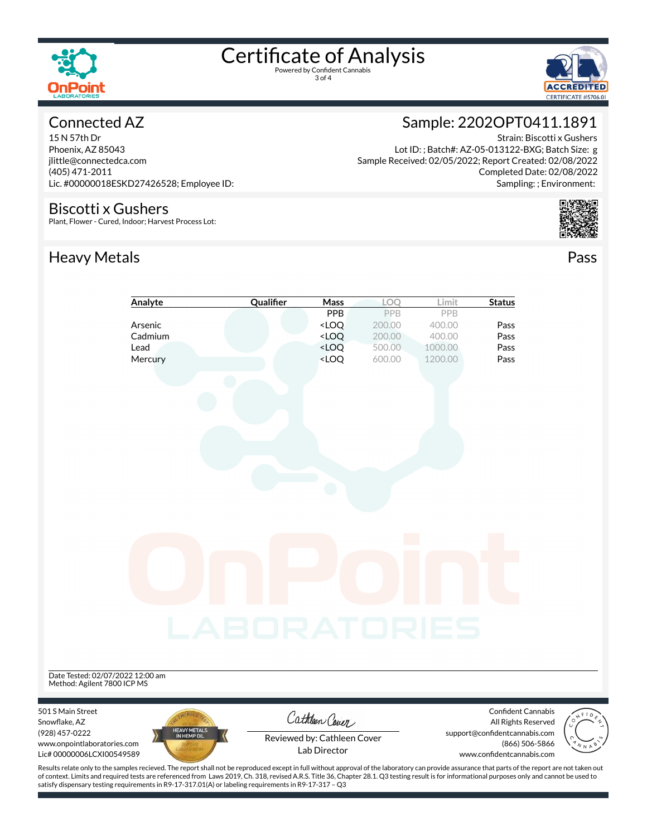

3 of 4



### Connected AZ

15 N 57th Dr Phoenix, AZ 85043 jlittle@connectedca.com (405) 471-2011 Lic. #00000018ESKD27426528; Employee ID:

### Biscotti x Gushers

Plant, Flower - Cured, Indoor; Harvest Process Lot:

### Heavy Metals **Pass**



Strain: Biscotti x Gushers Lot ID: ; Batch#: AZ-05-013122-BXG; Batch Size: g Sample Received: 02/05/2022; Report Created: 02/08/2022 Completed Date: 02/08/2022 Sampling: ; Environment:





Results relate only to the samples recieved. The report shall not be reproduced except in full without approval of the laboratory can provide assurance that parts of the report are not taken out of context. Limits and required tests are referenced from Laws 2019, Ch. 318, revised A.R.S. Title 36, Chapter 28.1. Q3 testing result is for informational purposes only and cannot be used to satisfy dispensary testing requirements in R9-17-317.01(A) or labeling requirements in R9-17-317 – Q3